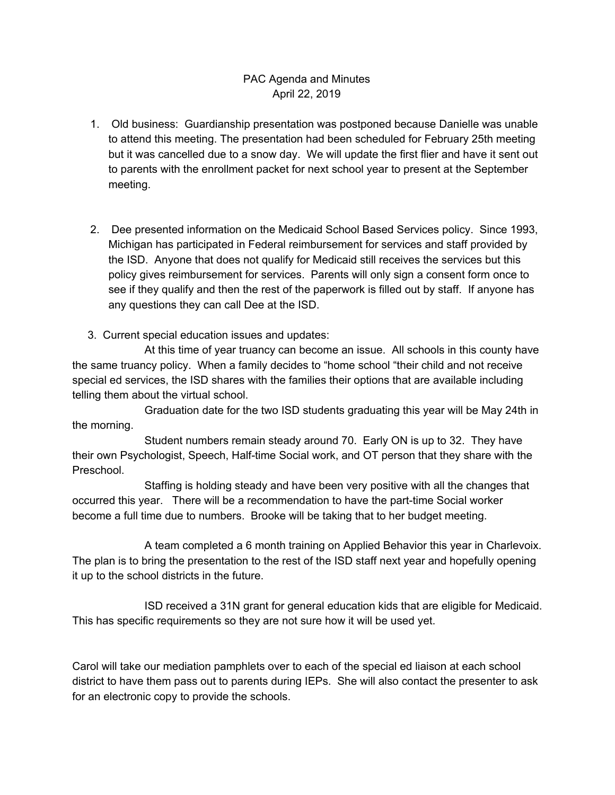## PAC Agenda and Minutes April 22, 2019

- 1. Old business: Guardianship presentation was postponed because Danielle was unable to attend this meeting. The presentation had been scheduled for February 25th meeting but it was cancelled due to a snow day. We will update the first flier and have it sent out to parents with the enrollment packet for next school year to present at the September meeting.
- 2. Dee presented information on the Medicaid School Based Services policy. Since 1993, Michigan has participated in Federal reimbursement for services and staff provided by the ISD. Anyone that does not qualify for Medicaid still receives the services but this policy gives reimbursement for services. Parents will only sign a consent form once to see if they qualify and then the rest of the paperwork is filled out by staff. If anyone has any questions they can call Dee at the ISD.
- 3. Current special education issues and updates:

 At this time of year truancy can become an issue. All schools in this county have the same truancy policy. When a family decides to "home school "their child and not receive special ed services, the ISD shares with the families their options that are available including telling them about the virtual school.

 Graduation date for the two ISD students graduating this year will be May 24th in the morning.

 Student numbers remain steady around 70. Early ON is up to 32. They have their own Psychologist, Speech, Half-time Social work, and OT person that they share with the Preschool.

 Staffing is holding steady and have been very positive with all the changes that occurred this year. There will be a recommendation to have the part-time Social worker become a full time due to numbers. Brooke will be taking that to her budget meeting.

 A team completed a 6 month training on Applied Behavior this year in Charlevoix. The plan is to bring the presentation to the rest of the ISD staff next year and hopefully opening it up to the school districts in the future.

 ISD received a 31N grant for general education kids that are eligible for Medicaid. This has specific requirements so they are not sure how it will be used yet.

 Carol will take our mediation pamphlets over to each of the special ed liaison at each school district to have them pass out to parents during IEPs. She will also contact the presenter to ask for an electronic copy to provide the schools.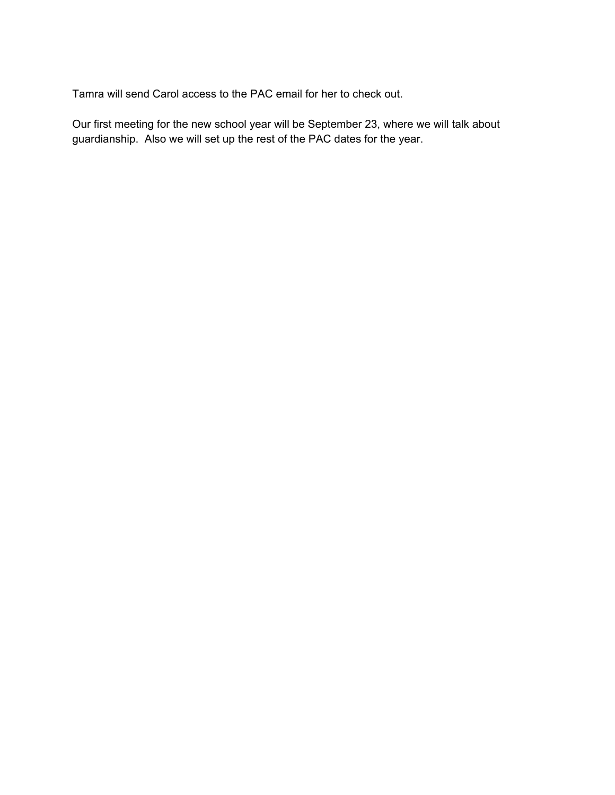Tamra will send Carol access to the PAC email for her to check out.

 Our first meeting for the new school year will be September 23, where we will talk about guardianship. Also we will set up the rest of the PAC dates for the year.